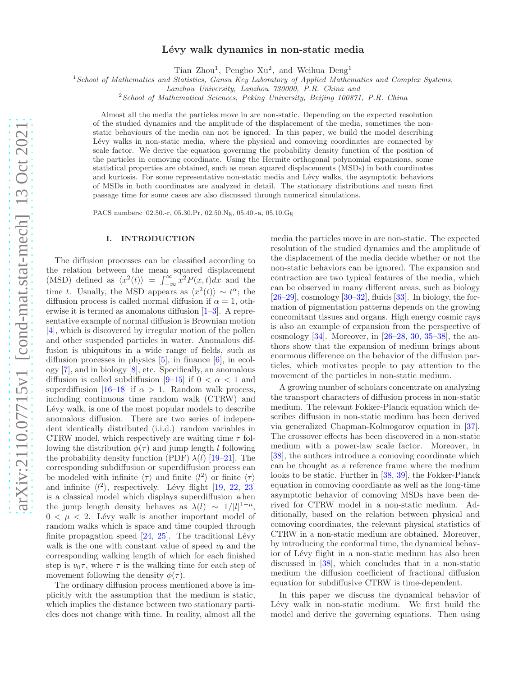# Lévy walk dynamics in non-static media

Tian Zhou<sup>1</sup>, Pengbo Xu<sup>2</sup>, and Weihua Deng<sup>1</sup>

<sup>1</sup> School of Mathematics and Statistics, Gansu Key Laboratory of Applied Mathematics and Complex Systems,

 $2$ School of Mathematical Sciences, Peking University, Beijing 100871, P.R. China

Almost all the media the particles move in are non-static. Depending on the expected resolution of the studied dynamics and the amplitude of the displacement of the media, sometimes the nonstatic behaviours of the media can not be ignored. In this paper, we build the model describing Lévy walks in non-static media, where the physical and comoving coordinates are connected by scale factor. We derive the equation governing the probability density function of the position of the particles in comoving coordinate. Using the Hermite orthogonal polynomial expansions, some statistical properties are obtained, such as mean squared displacements (MSDs) in both coordinates and kurtosis. For some representative non-static media and Lévy walks, the asymptotic behaviors of MSDs in both coordinates are analyzed in detail. The stationary distributions and mean first passage time for some cases are also discussed through numerical simulations.

PACS numbers: 02.50.-r, 05.30.Pr, 02.50.Ng, 05.40.-a, 05.10.Gg

## I. INTRODUCTION

The diffusion processes can be classified according to the relation between the mean squared displacement (MSD) defined as  $\langle x^2(t) \rangle = \int_{-\infty}^{\infty} x^2 P(x, t) dx$  and the time t. Usually, the MSD appears as  $\langle x^2(t) \rangle \sim t^{\alpha}$ ; the diffusion process is called normal diffusion if  $\alpha = 1$ , otherwise it is termed as anomalous diffusion [\[1](#page-11-0)[–3\]](#page-12-0). A representative example of normal diffusion is Brownian motion [\[4\]](#page-12-1), which is discovered by irregular motion of the pollen and other suspended particles in water. Anomalous diffusion is ubiquitous in a wide range of fields, such as diffusion processes in physics [\[5](#page-12-2)], in finance [\[6](#page-12-3)], in ecology [\[7\]](#page-12-4), and in biology [\[8\]](#page-12-5), etc. Specifically, an anomalous diffusion is called subdiffusion  $[9-15]$  if  $0 < \alpha < 1$  and superdiffusion [\[16](#page-12-8)[–18](#page-12-9)] if  $\alpha > 1$ . Random walk process, including continuous time random walk (CTRW) and Lévy walk, is one of the most popular models to describe anomalous diffusion. There are two series of independent identically distributed (i.i.d.) random variables in CTRW model, which respectively are waiting time  $\tau$  following the distribution  $\phi(\tau)$  and jump length l following the probability density function (PDF)  $\lambda(l)$  [\[19](#page-12-10)[–21](#page-12-11)]. The corresponding subdiffusion or superdiffusion process can be modeled with infinite  $\langle \tau \rangle$  and finite  $\langle l^2 \rangle$  or finite  $\langle \tau \rangle$ and infinite  $\langle l^2 \rangle$ , respectively. Lévy flight [\[19](#page-12-10), [22,](#page-12-12) [23](#page-12-13)] is a classical model which displays superdiffusion when the jump length density behaves as  $\lambda(l) \sim 1/|l|^{1+\mu}$ ,  $0 < \mu < 2$ . Lévy walk is another important model of random walks which is space and time coupled through finite propagation speed  $[24, 25]$  $[24, 25]$  $[24, 25]$ . The traditional Lévy walk is the one with constant value of speed  $v_0$  and the corresponding walking length of which for each finished step is  $v_0\tau$ , where  $\tau$  is the walking time for each step of movement following the density  $\phi(\tau)$ .

The ordinary diffusion process mentioned above is implicitly with the assumption that the medium is static, which implies the distance between two stationary particles does not change with time. In reality, almost all the

media the particles move in are non-static. The expected resolution of the studied dynamics and the amplitude of the displacement of the media decide whether or not the non-static behaviors can be ignored. The expansion and contraction are two typical features of the media, which can be observed in many different areas, such as biology  $[26–29]$  $[26–29]$ , cosmology  $[30–32]$  $[30–32]$ , fluids  $[33]$ . In biology, the formation of pigmentation patterns depends on the growing concomitant tissues and organs. High energy cosmic rays is also an example of expansion from the perspective of cosmology [\[34\]](#page-12-21). Moreover, in [\[26](#page-12-16)[–28,](#page-12-22) [30,](#page-12-18) [35](#page-12-23)[–38\]](#page-12-24), the authors show that the expansion of medium brings about enormous difference on the behavior of the diffusion particles, which motivates people to pay attention to the movement of the particles in non-static medium.

A growing number of scholars concentrate on analyzing the transport characters of diffusion process in non-static medium. The relevant Fokker-Planck equation which describes diffusion in non-static medium has been derived via generalized Chapman-Kolmogorov equation in [\[37\]](#page-12-25). The crossover effects has been discovered in a non-static medium with a power-law scale factor. Moreover, in [\[38\]](#page-12-24), the authors introduce a comoving coordinate which can be thought as a reference frame where the medium looks to be static. Further in [\[38,](#page-12-24) [39\]](#page-12-26), the Fokker-Planck equation in comoving coordiante as well as the long-time asymptotic behavior of comoving MSDs have been derived for CTRW model in a non-static medium. Additionally, based on the relation between physical and comoving coordinates, the relevant physical statistics of CTRW in a non-static medium are obtained. Moreover, by introducing the conformal time, the dynamical behavior of Lévy flight in a non-static medium has also been discussed in [\[38](#page-12-24)], which concludes that in a non-static medium the diffusion coefficient of fractional diffusion equation for subdiffusive CTRW is time-dependent.

In this paper we discuss the dynamical behavior of Lévy walk in non-static medium. We first build the model and derive the governing equations. Then using

Lanzhou University, Lanzhou 730000, P.R. China and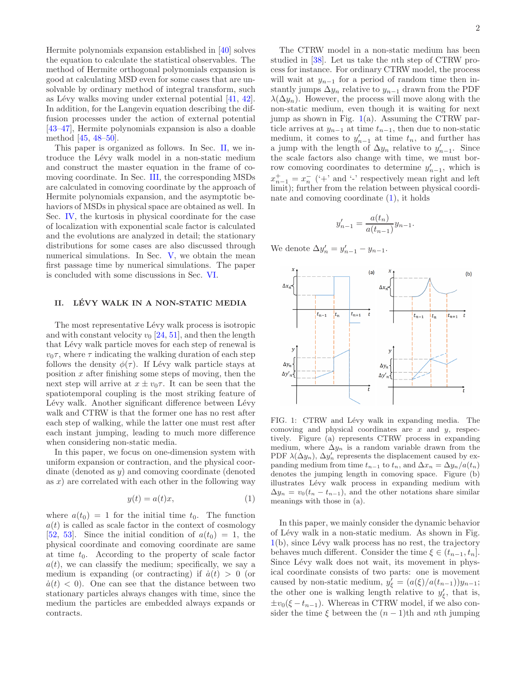Hermite polynomials expansion established in [\[40](#page-12-27)] solves the equation to calculate the statistical observables. The method of Hermite orthogonal polynomials expansion is good at calculating MSD even for some cases that are unsolvable by ordinary method of integral transform, such as Lévy walks moving under external potential [\[41](#page-12-28), [42\]](#page-12-29). In addition, for the Langevin equation describing the diffusion processes under the action of external potential [\[43](#page-12-30)[–47\]](#page-12-31), Hermite polynomials expansion is also a doable method [\[45,](#page-12-32) [48](#page-12-33)[–50\]](#page-12-34).

This paper is organized as follows. In Sec. [II,](#page-1-0) we introduce the Lévy walk model in a non-static medium and construct the master equation in the frame of comoving coordinate. In Sec. [III,](#page-3-0) the corresponding MSDs are calculated in comoving coordinate by the approach of Hermite polynomials expansion, and the asymptotic behaviors of MSDs in physical space are obtained as well. In Sec. [IV,](#page-4-0) the kurtosis in physical coordinate for the case of localization with exponential scale factor is calculated and the evolutions are analyzed in detail; the stationary distributions for some cases are also discussed through numerical simulations. In Sec. [V,](#page-8-0) we obtain the mean first passage time by numerical simulations. The paper is concluded with some discussions in Sec. [VI.](#page-9-0)

## <span id="page-1-0"></span>II. LÉVY WALK IN A NON-STATIC MEDIA

The most representative Lévy walk process is isotropic and with constant velocity  $v_0$  [\[24,](#page-12-14) [51\]](#page-12-35), and then the length that Lévy walk particle moves for each step of renewal is  $v_0\tau$ , where  $\tau$  indicating the walking duration of each step follows the density  $\phi(\tau)$ . If Lévy walk particle stays at position  $x$  after finishing some steps of moving, then the next step will arrive at  $x \pm v_0 \tau$ . It can be seen that the spatiotemporal coupling is the most striking feature of Lévy walk. Another significant difference between Lévy walk and CTRW is that the former one has no rest after each step of walking, while the latter one must rest after each instant jumping, leading to much more difference when considering non-static media.

In this paper, we focus on one-dimension system with uniform expansion or contraction, and the physical coordinate (denoted as y) and comoving coordinate (denoted as  $x$ ) are correlated with each other in the following way

<span id="page-1-2"></span>
$$
y(t) = a(t)x,\tag{1}
$$

where  $a(t_0) = 1$  for the initial time  $t_0$ . The function  $a(t)$  is called as scale factor in the context of cosmology [\[52,](#page-12-36) [53](#page-12-37)]. Since the initial condition of  $a(t_0) = 1$ , the physical coordinate and comoving coordinate are same at time  $t_0$ . According to the property of scale factor  $a(t)$ , we can classify the medium; specifically, we say a medium is expanding (or contracting) if  $\dot{a}(t) > 0$  (or  $\dot{a}(t)$  < 0). One can see that the distance between two stationary particles always changes with time, since the medium the particles are embedded always expands or contracts.

The CTRW model in a non-static medium has been studied in [\[38\]](#page-12-24). Let us take the nth step of CTRW process for instance. For ordinary CTRW model, the process will wait at  $y_{n-1}$  for a period of random time then instantly jumps  $\Delta y_n$  relative to  $y_{n-1}$  drawn from the PDF  $\lambda(\Delta y_n)$ . However, the process will move along with the non-static medium, even though it is waiting for next jump as shown in Fig.  $1(a)$  $1(a)$ . Assuming the CTRW particle arrives at  $y_{n-1}$  at time  $t_{n-1}$ , then due to non-static medium, it comes to  $y'_{n-1}$  at time  $t_n$ , and further has a jump with the length of  $\Delta y_n$  relative to  $y'_{n-1}$ . Since the scale factors also change with time, we must borrow comoving coordinates to determine  $y'_{n-1}$ , which is  $x_{n-1}^+ = x_n^-$  ('+' and '-' respectively mean right and left limit); further from the relation between physical coordinate and comoving coordinate  $(1)$ , it holds

$$
y'_{n-1} = \frac{a(t_n)}{a(t_{n-1})} y_{n-1}.
$$

We denote  $\Delta y'_{n} = y'_{n-1} - y_{n-1}$ .



<span id="page-1-1"></span>FIG. 1: CTRW and Lévy walk in expanding media. The comoving and physical coordinates are  $x$  and  $y$ , respectively. Figure (a) represents CTRW process in expanding medium, where  $\Delta y_n$  is a random variable drawn from the PDF  $\lambda(\Delta y_n)$ ,  $\Delta y'_n$  represents the displacement caused by expanding medium from time  $t_{n-1}$  to  $t_n$ , and  $\Delta x_n = \Delta y_n/a(t_n)$ denotes the jumping length in comoving space. Figure (b) illustrates Lévy walk process in expanding medium with  $\Delta y_n = v_0(t_n - t_{n-1})$ , and the other notations share similar meanings with those in (a).

In this paper, we mainly consider the dynamic behavior of L´evy walk in a non-static medium. As shown in Fig.  $1(b)$  $1(b)$ , since Lévy walk process has no rest, the trajectory behaves much different. Consider the time  $\xi \in (t_{n-1}, t_n]$ . Since Lévy walk does not wait, its movement in physical coordinate consists of two parts: one is movement caused by non-static medium,  $y'_{\xi} = (a(\xi)/a(t_{n-1}))y_{n-1};$ the other one is walking length relative to  $y'_{\xi}$ , that is,  $\pm v_0(\xi - t_{n-1})$ . Whereas in CTRW model, if we also consider the time  $\xi$  between the  $(n-1)$ th and nth jumping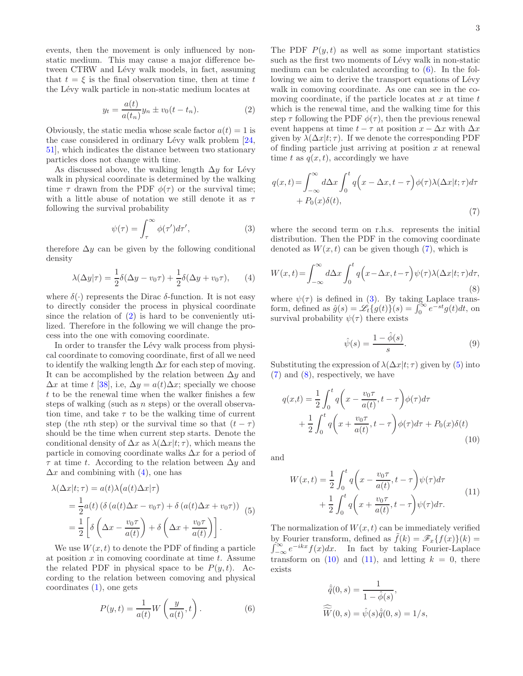events, then the movement is only influenced by nonstatic medium. This may cause a major difference between CTRW and Lévy walk models, in fact, assuming that  $t = \xi$  is the final observation time, then at time t the Lévy walk particle in non-static medium locates at

<span id="page-2-0"></span>
$$
y_t = \frac{a(t)}{a(t_n)} y_n \pm v_0(t - t_n).
$$
 (2)

Obviously, the static media whose scale factor  $a(t) = 1$  is the case considered in ordinary Lévy walk problem  $[24,$ [51\]](#page-12-35), which indicates the distance between two stationary particles does not change with time.

As discussed above, the walking length  $\Delta y$  for Lévy walk in physical coordinate is determined by the walking time  $\tau$  drawn from the PDF  $\phi(\tau)$  or the survival time; with a little abuse of notation we still denote it as  $\tau$ following the survival probability

<span id="page-2-4"></span>
$$
\psi(\tau) = \int_{\tau}^{\infty} \phi(\tau') d\tau', \qquad (3)
$$

therefore  $\Delta y$  can be given by the following conditional density

<span id="page-2-1"></span>
$$
\lambda(\Delta y|\tau) = \frac{1}{2}\delta(\Delta y - v_0\tau) + \frac{1}{2}\delta(\Delta y + v_0\tau), \qquad (4)
$$

where  $\delta(\cdot)$  represents the Dirac  $\delta$ -function. It is not easy to directly consider the process in physical coordinate since the relation of  $(2)$  is hard to be conveniently utilized. Therefore in the following we will change the process into the one with comoving coordinate.

In order to transfer the Lévy walk process from physical coordinate to comoving coordinate, first of all we need to identify the walking length  $\Delta x$  for each step of moving. It can be accomplished by the relation between  $\Delta y$  and  $\Delta x$  at time t [\[38](#page-12-24)], i.e,  $\Delta y = a(t) \Delta x$ ; specially we choose  $t$  to be the renewal time when the walker finishes a few steps of walking (such as  $n$  steps) or the overall observation time, and take  $\tau$  to be the walking time of current step (the *n*th step) or the survival time so that  $(t - \tau)$ should be the time when current step starts. Denote the conditional density of  $\Delta x$  as  $\lambda(\Delta x|t;\tau)$ , which means the particle in comoving coordinate walks  $\Delta x$  for a period of  $\tau$  at time t. According to the relation between  $\Delta y$  and  $\Delta x$  and combining with [\(4\)](#page-2-1), one has

<span id="page-2-5"></span>
$$
\lambda(\Delta x|t; \tau) = a(t)\lambda(a(t)\Delta x|\tau)
$$
  
=  $\frac{1}{2}a(t) \left( \delta (a(t)\Delta x - v_0\tau) + \delta (a(t)\Delta x + v_0\tau) \right)$  (5)  
=  $\frac{1}{2} \left[ \delta \left( \Delta x - \frac{v_0\tau}{a(t)} \right) + \delta \left( \Delta x + \frac{v_0\tau}{a(t)} \right) \right].$ 

We use  $W(x, t)$  to denote the PDF of finding a particle at position  $x$  in comoving coordinate at time  $t$ . Assume the related PDF in physical space to be  $P(y, t)$ . According to the relation between comoving and physical  $coordinates (1), one gets$  $coordinates (1), one gets$  $coordinates (1), one gets$ 

<span id="page-2-2"></span>
$$
P(y,t) = \frac{1}{a(t)}W\left(\frac{y}{a(t)},t\right).
$$
 (6)

3

The PDF  $P(y, t)$  as well as some important statistics such as the first two moments of Lévy walk in non-static medium can be calculated according to  $(6)$ . In the following we aim to derive the transport equations of Lévy walk in comoving coordinate. As one can see in the comoving coordinate, if the particle locates at  $x$  at time  $t$ which is the renewal time, and the walking time for this step  $\tau$  following the PDF  $\phi(\tau)$ , then the previous renewal event happens at time  $t - \tau$  at position  $x - \Delta x$  with  $\Delta x$ given by  $\lambda(\Delta x|t;\tau)$ . If we denote the corresponding PDF of finding particle just arriving at position  $x$  at renewal time t as  $q(x, t)$ , accordingly we have

<span id="page-2-3"></span>
$$
q(x,t) = \int_{-\infty}^{\infty} d\Delta x \int_{0}^{t} q\left(x - \Delta x, t - \tau\right) \phi(\tau) \lambda(\Delta x | t; \tau) d\tau + P_0(x)\delta(t),
$$
\n(7)

where the second term on r.h.s. represents the initial distribution. Then the PDF in the comoving coordinate denoted as  $W(x, t)$  can be given though [\(7\)](#page-2-3), which is

<span id="page-2-6"></span>
$$
W(x,t) = \int_{-\infty}^{\infty} d\Delta x \int_{0}^{t} q\left(x - \Delta x, t - \tau\right) \psi(\tau) \lambda(\Delta x | t; \tau) d\tau,
$$
\n(8)

where  $\psi(\tau)$  is defined in [\(3\)](#page-2-4). By taking Laplace transform, defined as  $\hat{g}(s) = \mathscr{L}_t\{g(t)\}\check{(s)} = \int_0^\infty e^{-st}g(t)dt$ , on survival probability  $\psi(\tau)$  there exists

$$
\hat{\psi}(s) = \frac{1 - \hat{\phi}(s)}{s}.
$$
\n(9)

Substituting the expression of  $\lambda(\Delta x|t;\tau)$  given by [\(5\)](#page-2-5) into [\(7\)](#page-2-3) and [\(8\)](#page-2-6), respectively, we have

<span id="page-2-7"></span>
$$
q(x,t) = \frac{1}{2} \int_0^t q\left(x - \frac{v_0 \tau}{a(t)}, t - \tau\right) \phi(\tau) d\tau
$$

$$
+ \frac{1}{2} \int_0^t q\left(x + \frac{v_0 \tau}{a(t)}, t - \tau\right) \phi(\tau) d\tau + P_0(x) \delta(t)
$$
(10)

and

<span id="page-2-8"></span>
$$
W(x,t) = \frac{1}{2} \int_0^t q\left(x - \frac{v_0 \tau}{a(t)}, t - \tau\right) \psi(\tau) d\tau + \frac{1}{2} \int_0^t q\left(x + \frac{v_0 \tau}{a(t)}, t - \tau\right) \psi(\tau) d\tau.
$$
 (11)

The normalization of  $W(x, t)$  can be immediately verified by Fourier transform, defined as  $\tilde{f}(k) = \mathscr{F}_x\{f(x)\}(k) =$  $\int_{-\infty}^{\infty} e^{-ikx} f(x) dx$ . In fact by taking Fourier-Laplace transform on [\(10\)](#page-2-7) and [\(11\)](#page-2-8), and letting  $k = 0$ , there exists

$$
\hat{\tilde{q}}(0,s) = \frac{1}{1 - \hat{\phi}(s)},
$$

$$
\widehat{\widetilde{W}}(0,s) = \hat{\psi}(s)\hat{\tilde{q}}(0,s) = 1/s,
$$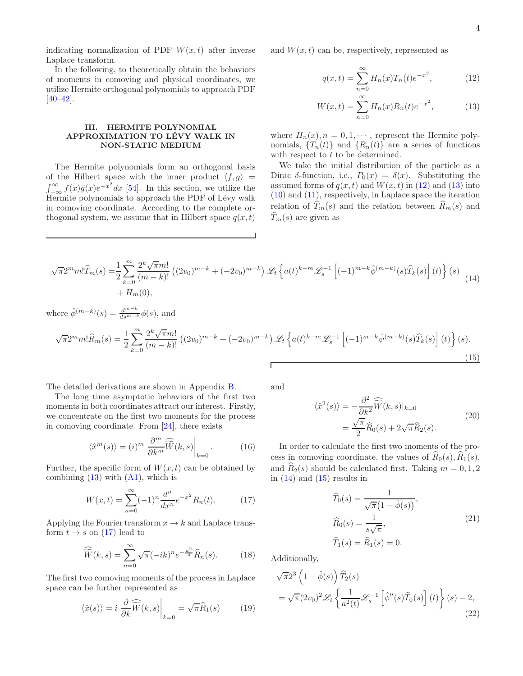indicating normalization of PDF  $W(x,t)$  after inverse Laplace transform.

In the following, to theoretically obtain the behaviors of moments in comoving and physical coordinates, we utilize Hermite orthogonal polynomials to approach PDF  $[40-42]$  $[40-42]$ .

## <span id="page-3-0"></span>III. HERMITE POLYNOMIAL APPROXIMATION TO LÉVY WALK IN NON-STATIC MEDIUM

The Hermite polynomials form an orthogonal basis of the Hilbert space with the inner product  $\langle f, g \rangle =$ <br> $\int_{-\infty}^{\infty} f(x) \bar{g}(x) e^{-x^2} dx$  [\[54\]](#page-12-38). In this section, we utilize the Hermite polynomials to approach the PDF of Lévy walk in comoving coordinate. According to the complete orthogonal system, we assume that in Hilbert space  $q(x, t)$ 

and  $W(x, t)$  can be, respectively, represented as

<span id="page-3-2"></span><span id="page-3-1"></span>
$$
q(x,t) = \sum_{n=0}^{\infty} H_n(x) T_n(t) e^{-x^2},
$$
 (12)

$$
W(x,t) = \sum_{n=0}^{\infty} H_n(x) R_n(t) e^{-x^2},
$$
 (13)

where  $H_n(x)$ ,  $n = 0, 1, \dots$ , represent the Hermite polynomials,  $\{T_n(t)\}\$ and  $\{R_n(t)\}\$ are a series of functions with respect to  $t$  to be determined.

We take the initial distribution of the particle as a Dirac δ-function, i.e.,  $P_0(x) = \delta(x)$ . Substituting the assumed forms of  $q(x, t)$  and  $W(x, t)$  in [\(12\)](#page-3-1) and [\(13\)](#page-3-2) into [\(10\)](#page-2-7) and [\(11\)](#page-2-8), respectively, in Laplace space the iteration relation of  $\widehat{T}_m(s)$  and the relation between  $\widehat{R}_m(s)$  and  $\widehat{T}_m(s)$  are given as

<span id="page-3-4"></span>
$$
\sqrt{\pi}2^m m! \widehat{T}_m(s) = \frac{1}{2} \sum_{k=0}^m \frac{2^k \sqrt{\pi} m!}{(m-k)!} \left( (2v_0)^{m-k} + (-2v_0)^{m-k} \right) \mathcal{L}_t \left\{ a(t)^{k-m} \mathcal{L}_s^{-1} \left[ (-1)^{m-k} \widehat{\phi}^{(m-k)}(s) \widehat{T}_k(s) \right] (t) \right\} (s) + H_m(0), \tag{14}
$$

where  $\hat{\phi}^{(m-k)}(s) = \frac{d^{m-k}}{ds^{m-k}} \phi(s)$ , and

<span id="page-3-5"></span>
$$
\sqrt{\pi}2^m m! \hat{R}_m(s) = \frac{1}{2} \sum_{k=0}^m \frac{2^k \sqrt{\pi} m!}{(m-k)!} \left( (2v_0)^{m-k} + (-2v_0)^{m-k} \right) \mathcal{L}_t \left\{ a(t)^{k-m} \mathcal{L}_s^{-1} \left[ (-1)^{m-k} \hat{\psi}^{(m-k)}(s) \hat{T}_k(s) \right] (t) \right\} (s).
$$
\n(15)

The detailed derivations are shown in Appendix [B.](#page-10-0)

The long time asymptotic behaviors of the first two moments in both coordinates attract our interest. Firstly, we concentrate on the first two moments for the process in comoving coordinate. From [\[24\]](#page-12-14), there exists

<span id="page-3-9"></span>
$$
\langle \hat{x}^m(s) \rangle = (i)^m \left. \frac{\partial^m}{\partial k^m} \widehat{\widetilde{W}}(k,s) \right|_{k=0}.
$$
 (16)

Further, the specific form of  $W(x,t)$  can be obtained by combining  $(13)$  with  $(A1)$ , which is

<span id="page-3-3"></span>
$$
W(x,t) = \sum_{n=0}^{\infty} (-1)^n \frac{d^n}{dx^n} e^{-x^2} R_n(t).
$$
 (17)

Applying the Fourier transform  $x \to k$  and Laplace transform  $t \to s$  on [\(17\)](#page-3-3) lead to

<span id="page-3-10"></span>
$$
\widehat{\widetilde{W}}(k,s) = \sum_{n=0}^{\infty} \sqrt{\pi}(-ik)^n e^{-\frac{k^2}{4}} \widehat{R}_n(s).
$$
 (18)

The first two comoving moments of the process in Laplace space can be further represented as

$$
\langle \hat{x}(s) \rangle = i \left. \frac{\partial}{\partial k} \widehat{\widetilde{W}}(k, s) \right|_{k=0} = \sqrt{\pi} \widehat{R}_1(s) \tag{19}
$$

<span id="page-3-6"></span>and

$$
\langle \hat{x}^2(s) \rangle = -\frac{\partial^2}{\partial k^2} \widehat{\widetilde{W}}(k,s)|_{k=0}
$$
  
= 
$$
\frac{\sqrt{\pi}}{2} \widehat{R}_0(s) + 2\sqrt{\pi} \widehat{R}_2(s).
$$
 (20)

In order to calculate the first two moments of the process in comoving coordinate, the values of  $R_0(s), R_1(s)$ , and  $R_2(s)$  should be calculated first. Taking  $m = 0, 1, 2$ in  $(14)$  and  $(15)$  results in

$$
\widehat{T}_0(s) = \frac{1}{\sqrt{\pi}(1 - \widehat{\phi}(s))},
$$
\n
$$
\widehat{R}_0(s) = \frac{1}{s\sqrt{\pi}},
$$
\n
$$
\widehat{T}_1(s) = \widehat{R}_1(s) = 0.
$$
\n(21)

<span id="page-3-7"></span>Additionally,

<span id="page-3-8"></span>
$$
\sqrt{\pi}2^{3}\left(1-\hat{\phi}(s)\right)\widehat{T}_{2}(s)
$$
\n
$$
=\sqrt{\pi}(2v_{0})^{2}\mathscr{L}_{t}\left\{\frac{1}{a^{2}(t)}\mathscr{L}_{s}^{-1}\left[\hat{\phi}^{"}(s)\widehat{T}_{0}(s)\right](t)\right\}(s)-2,
$$
\n(22)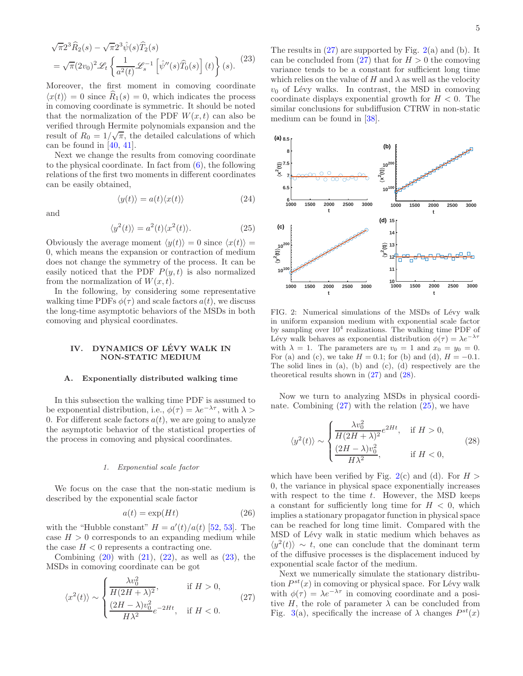<span id="page-4-1"></span>
$$
\sqrt{\pi}2^{3}\widehat{R}_{2}(s) - \sqrt{\pi}2^{3}\widehat{\psi}(s)\widehat{T}_{2}(s)
$$
  
= 
$$
\sqrt{\pi}(2v_{0})^{2}\mathscr{L}_{t}\left\{\frac{1}{a^{2}(t)}\mathscr{L}_{s}^{-1}\left[\widehat{\psi}''(s)\widehat{T}_{0}(s)\right](t)\right\}(s).
$$
 (23)

Moreover, the first moment in comoving coordinate  $\langle x(t) \rangle = 0$  since  $R_1(s) = 0$ , which indicates the process in comoving coordinate is symmetric. It should be noted that the normalization of the PDF  $W(x,t)$  can also be verified through Hermite polynomials expansion and the result of  $R_0 = 1/\sqrt{\pi}$ , the detailed calculations of which can be found in [\[40](#page-12-27), [41](#page-12-28)].

Next we change the results from comoving coordinate to the physical coordinate. In fact from  $(6)$ , the following relations of the first two moments in different coordinates can be easily obtained,

$$
\langle y(t) \rangle = a(t) \langle x(t) \rangle \tag{24}
$$

and

<span id="page-4-5"></span>
$$
\langle y^2(t) \rangle = a^2(t) \langle x^2(t) \rangle.
$$
 (25)

Obviously the average moment  $\langle y(t) \rangle = 0$  since  $\langle x(t) \rangle =$ 0, which means the expansion or contraction of medium does not change the symmetry of the process. It can be easily noticed that the PDF  $P(y, t)$  is also normalized from the normalization of  $W(x, t)$ .

In the following, by considering some representative walking time PDFs  $\phi(\tau)$  and scale factors  $a(t)$ , we discuss the long-time asymptotic behaviors of the MSDs in both comoving and physical coordinates.

## <span id="page-4-0"></span>IV. DYNAMICS OF LÉVY WALK IN NON-STATIC MEDIUM

### A. Exponentially distributed walking time

In this subsection the walking time PDF is assumed to be exponential distribution, i.e.,  $\phi(\tau) = \lambda e^{-\lambda \tau}$ , with  $\lambda >$ 0. For different scale factors  $a(t)$ , we are going to analyze the asymptotic behavior of the statistical properties of the process in comoving and physical coordinates.

## 1. Exponential scale factor

We focus on the case that the non-static medium is described by the exponential scale factor

<span id="page-4-6"></span>
$$
a(t) = \exp(Ht) \tag{26}
$$

with the "Hubble constant"  $H = a'(t)/a(t)$  [\[52](#page-12-36), [53](#page-12-37)]. The case  $H > 0$  corresponds to an expanding medium while the case  $H < 0$  represents a contracting one.

Combining  $(20)$  with  $(21)$ ,  $(22)$ , as well as  $(23)$ , the MSDs in comoving coordinate can be got

<span id="page-4-2"></span>
$$
\langle x^2(t) \rangle \sim \begin{cases} \frac{\lambda v_0^2}{H(2H+\lambda)^2}, & \text{if } H > 0, \\ \frac{(2H-\lambda)v_0^2}{H\lambda^2}e^{-2Ht}, & \text{if } H < 0. \end{cases}
$$
 (27)

The results in [\(27\)](#page-4-2) are supported by Fig. [2\(](#page-4-3)a) and (b). It can be concluded from  $(27)$  that for  $H > 0$  the comoving variance tends to be a constant for sufficient long time which relies on the value of H and  $\lambda$  as well as the velocity  $v_0$  of Lévy walks. In contrast, the MSD in comoving coordinate displays exponential growth for  $H < 0$ . The similar conclusions for subdiffusion CTRW in non-static medium can be found in [\[38](#page-12-24)].



<span id="page-4-3"></span>FIG. 2: Numerical simulations of the MSDs of Lévy walk in uniform expansion medium with exponential scale factor by sampling over  $10^4$  realizations. The walking time PDF of Lévy walk behaves as exponential distribution  $\phi(\tau) = \lambda e^{-\lambda \tau}$ with  $\lambda = 1$ . The parameters are  $v_0 = 1$  and  $x_0 = y_0 = 0$ . For (a) and (c), we take  $H = 0.1$ ; for (b) and (d),  $H = -0.1$ . The solid lines in (a), (b) and (c), (d) respectively are the theoretical results shown in [\(27\)](#page-4-2) and [\(28\)](#page-4-4).

Now we turn to analyzing MSDs in physical coordinate. Combining  $(27)$  with the relation  $(25)$ , we have

<span id="page-4-4"></span>
$$
\langle y^2(t) \rangle \sim \begin{cases} \frac{\lambda v_0^2}{H(2H+\lambda)^2} e^{2Ht}, & \text{if } H > 0, \\ \frac{(2H-\lambda)v_0^2}{H\lambda^2}, & \text{if } H < 0, \end{cases}
$$
 (28)

which have been verified by Fig. [2\(](#page-4-3)c) and (d). For  $H >$ 0, the variance in physical space exponentially increases with respect to the time  $t$ . However, the MSD keeps a constant for sufficiently long time for  $H < 0$ , which implies a stationary propagator function in physical space can be reached for long time limit. Compared with the MSD of Lévy walk in static medium which behaves as  $\langle y^2(t) \rangle \sim t$ , one can conclude that the dominant term of the diffusive processes is the displacement induced by exponential scale factor of the medium.

Next we numerically simulate the stationary distribution  $P^{st}(x)$  in comoving or physical space. For Lévy walk with  $\phi(\tau) = \lambda e^{-\lambda \tau}$  in comoving coordinate and a positive H, the role of parameter  $\lambda$  can be concluded from Fig. [3\(](#page-5-0)a), specifically the increase of  $\lambda$  changes  $P^{st}(x)$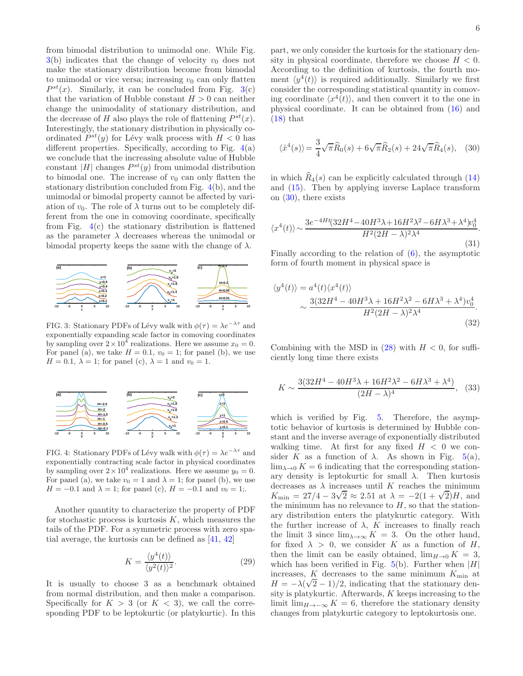from bimodal distribution to unimodal one. While Fig.  $3(b)$  $3(b)$  indicates that the change of velocity  $v_0$  does not make the stationary distribution become from bimodal to unimodal or vice versa; increasing  $v_0$  can only flatten  $P^{st}(x)$ . Similarly, it can be concluded from Fig. [3\(](#page-5-0)c) that the variation of Hubble constant  $H > 0$  can neither change the unimodality of stationary distribution, and the decrease of H also plays the role of flattening  $P^{st}(x)$ . Interestingly, the stationary distribution in physically coordinated  $P^{st}(y)$  for Lévy walk process with  $H < 0$  has different properties. Specifically, according to Fig.  $4(a)$  $4(a)$ we conclude that the increasing absolute value of Hubble constant  $|H|$  changes  $P^{st}(y)$  from unimodal distribution to bimodal one. The increase of  $v_0$  can only flatten the stationary distribution concluded from Fig. [4\(](#page-5-1)b), and the unimodal or bimodal property cannot be affected by variation of  $v_0$ . The role of  $\lambda$  turns out to be completely different from the one in comoving coordinate, specifically from Fig.  $4(c)$  $4(c)$  the stationary distribution is flattened as the parameter  $\lambda$  decreases whereas the unimodal or bimodal property keeps the same with the change of  $\lambda$ .



<span id="page-5-0"></span>FIG. 3: Stationary PDFs of Lévy walk with  $\phi(\tau) = \lambda e^{-\lambda \tau}$  and exponentially expanding scale factor in comoving coordinates by sampling over  $2 \times 10^4$  realizations. Here we assume  $x_0 = 0$ . For panel (a), we take  $H = 0.1$ ,  $v_0 = 1$ ; for panel (b), we use  $H = 0.1$ ,  $\lambda = 1$ ; for panel (c),  $\lambda = 1$  and  $v_0 = 1$ .



<span id="page-5-1"></span>FIG. 4: Stationary PDFs of Lévy walk with  $\phi(\tau) = \lambda e^{-\lambda \tau}$  and exponentially contracting scale factor in physical coordinates by sampling over  $2 \times 10^4$  realizations. Here we assume  $y_0 = 0$ . For panel (a), we take  $v_0 = 1$  and  $\lambda = 1$ ; for panel (b), we use  $H = -0.1$  and  $\lambda = 1$ ; for panel (c),  $H = -0.1$  and  $v_0 = 1$ ;.

Another quantity to characterize the property of PDF for stochastic process is kurtosis  $K$ , which measures the tails of the PDF. For a symmetric process with zero spatial average, the kurtosis can be defined as [\[41,](#page-12-28) [42](#page-12-29)]

$$
K = \frac{\langle y^4(t) \rangle}{\langle y^2(t) \rangle^2}.
$$
 (29)

It is usually to choose 3 as a benchmark obtained from normal distribution, and then make a comparison. Specifically for  $K > 3$  (or  $K < 3$ ), we call the corresponding PDF to be leptokurtic (or platykurtic). In this

part, we only consider the kurtosis for the stationary density in physical coordinate, therefore we choose  $H < 0$ . According to the definition of kurtosis, the fourth moment  $\langle y^4(t) \rangle$  is required additionally. Similarly we first consider the corresponding statistical quantity in comoving coordinate  $\langle x^4(t) \rangle$ , and then convert it to the one in physical coordinate. It can be obtained from [\(16\)](#page-3-9) and  $(18)$  that

<span id="page-5-2"></span>
$$
\langle \hat{x}^4(s) \rangle = \frac{3}{4} \sqrt{\pi} \widehat{R}_0(s) + 6 \sqrt{\pi} \widehat{R}_2(s) + 24 \sqrt{\pi} \widehat{R}_4(s), \quad (30)
$$

in which  $\hat{R}_4(s)$  can be explicitly calculated through [\(14\)](#page-3-4) and [\(15\)](#page-3-5). Then by applying inverse Laplace transform on [\(30\)](#page-5-2), there exists

$$
\langle x^4(t) \rangle \sim \frac{3e^{-4Ht}(32H^4 - 40H^3\lambda + 16H^2\lambda^2 - 6H\lambda^3 + \lambda^4)\nu_0^4}{H^2(2H - \lambda)^2\lambda^4}.
$$
\n(31)

Finally according to the relation of [\(6\)](#page-2-2), the asymptotic form of fourth moment in physical space is

$$
\langle y^4(t) \rangle = a^4(t) \langle x^4(t) \rangle
$$
  
 
$$
\sim \frac{3(32H^4 - 40H^3 \lambda + 16H^2 \lambda^2 - 6H\lambda^3 + \lambda^4) v_0^4}{H^2 (2H - \lambda)^2 \lambda^4}.
$$
 (32)

Combining with the MSD in  $(28)$  with  $H < 0$ , for sufficiently long time there exists

<span id="page-5-3"></span>
$$
K \sim \frac{3(32H^4 - 40H^3\lambda + 16H^2\lambda^2 - 6H\lambda^3 + \lambda^4)}{(2H - \lambda)^4},
$$
 (33)

which is verified by Fig. [5.](#page-6-0) Therefore, the asymptotic behavior of kurtosis is determined by Hubble constant and the inverse average of exponentially distributed walking time. At first for any fixed  $H < 0$  we consider K as a function of  $\lambda$ . As shown in Fig. [5\(](#page-6-0)a),  $\lim_{\lambda\to 0} K = 6$  indicating that the corresponding stationary density is leptokurtic for small  $\lambda$ . Then kurtosis decreases as  $\lambda$  increases until K reaches the minimum  $K_{\text{min}} = 27/4 - 3\sqrt{2} \approx 2.51$  at  $\lambda = -2(1 + \sqrt{2})H$ , and the minimum has no relevance to  $H$ , so that the stationary distribution enters the platykurtic category. With the further increase of  $\lambda$ , K increases to finally reach the limit 3 since  $\lim_{\lambda \to \infty} K = 3$ . On the other hand, for fixed  $\lambda > 0$ , we consider K as a function of H, then the limit can be easily obtained,  $\lim_{H\to 0} K = 3$ , which has been verified in Fig. [5\(](#page-6-0)b). Further when  $|H|$ increases,  $K$  decreases to the same minimum  $K_{\min}$  at  $H = -\lambda(\sqrt{2}-1)/2$ , indicating that the stationary density is platykurtic. Afterwards,  $K$  keeps increasing to the limit lim<sub>H→−∞</sub>  $K = 6$ , therefore the stationary density changes from platykurtic category to leptokurtosis one.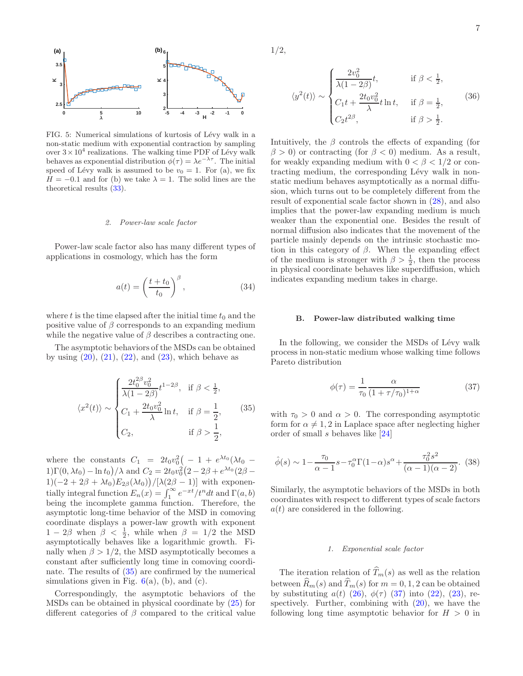

<span id="page-6-0"></span>FIG. 5: Numerical simulations of kurtosis of Lévy walk in a non-static medium with exponential contraction by sampling over  $3 \times 10^4$  realizations. The walking time PDF of Lévy walk behaves as exponential distribution  $\phi(\tau) = \lambda e^{-\lambda \tau}$ . The initial speed of Lévy walk is assumed to be  $v_0 = 1$ . For (a), we fix  $H = -0.1$  and for (b) we take  $\lambda = 1$ . The solid lines are the theoretical results [\(33\)](#page-5-3).

### 2. Power-law scale factor

Power-law scale factor also has many different types of applications in cosmology, which has the form

<span id="page-6-4"></span>
$$
a(t) = \left(\frac{t+t_0}{t_0}\right)^{\beta},\tag{34}
$$

where t is the time elapsed after the initial time  $t_0$  and the positive value of  $\beta$  corresponds to an expanding medium while the negative value of  $\beta$  describes a contracting one.

The asymptotic behaviors of the MSDs can be obtained by using  $(20)$ ,  $(21)$ ,  $(22)$ , and  $(23)$ , which behave as

<span id="page-6-1"></span>
$$
\langle x^2(t) \rangle \sim \begin{cases} \frac{2t_0^{2\beta}v_0^2}{\lambda(1-2\beta)}t^{1-2\beta}, & \text{if } \beta < \frac{1}{2}, \\ C_1 + \frac{2t_0v_0^2}{\lambda}\ln t, & \text{if } \beta = \frac{1}{2}, \\ C_2, & \text{if } \beta > \frac{1}{2}, \end{cases}
$$
(35)

where the constants  $C_1 = 2t_0v_0^2\left(-1 + e^{\lambda t_0}(\lambda t_0 -$ 1)Γ(0, λt<sub>0</sub>) – ln t<sub>0</sub>)/λ and  $C_2 = 2t_0v_0^2(2 - 2\beta + e^{\lambda t_0}(2\beta 1)(-2+2\beta+\lambda t_0)E_{2\beta}(\lambda t_0)\big)/[\lambda(2\beta-1)]$  with exponentially integral function  $E_n(x) = \int_1^\infty e^{-xt}/t^n dt$  and  $\Gamma(a, b)$ being the incomplete gamma function. Therefore, the asymptotic long-time behavior of the MSD in comoving coordinate displays a power-law growth with exponent  $1-2\beta$  when  $\beta < \frac{1}{2}$ , while when  $\beta = 1/2$  the MSD asymptotically behaves like a logarithmic growth. Finally when  $\beta > 1/2$ , the MSD asymptotically becomes a constant after sufficiently long time in comoving coordinate. The results of [\(35\)](#page-6-1) are confirmed by the numerical simulations given in Fig.  $6(a)$  $6(a)$ , (b), and (c).

Correspondingly, the asymptotic behaviors of the MSDs can be obtained in physical coordinate by [\(25\)](#page-4-5) for different categories of  $\beta$  compared to the critical value

1/2,

<span id="page-6-3"></span>
$$
\langle y^2(t) \rangle \sim \begin{cases} \frac{2v_0^2}{\lambda(1-2\beta)}t, & \text{if } \beta < \frac{1}{2}, \\ C_1t + \frac{2t_0v_0^2}{\lambda}t\ln t, & \text{if } \beta = \frac{1}{2}, \\ C_2t^{2\beta}, & \text{if } \beta > \frac{1}{2}. \end{cases}
$$
(36)

Intuitively, the  $\beta$  controls the effects of expanding (for  $\beta > 0$ ) or contracting (for  $\beta < 0$ ) medium. As a result, for weakly expanding medium with  $0 < \beta < 1/2$  or contracting medium, the corresponding Lévy walk in nonstatic medium behaves asymptotically as a normal diffusion, which turns out to be completely different from the result of exponential scale factor shown in [\(28\)](#page-4-4), and also implies that the power-law expanding medium is much weaker than the exponential one. Besides the result of normal diffusion also indicates that the movement of the particle mainly depends on the intrinsic stochastic motion in this category of  $\beta$ . When the expanding effect of the medium is stronger with  $\beta > \frac{1}{2}$ , then the process in physical coordinate behaves like superdiffusion, which indicates expanding medium takes in charge.

### B. Power-law distributed walking time

In the following, we consider the MSDs of Lévy walk process in non-static medium whose walking time follows Pareto distribution

<span id="page-6-2"></span>
$$
\phi(\tau) = \frac{1}{\tau_0} \frac{\alpha}{(1 + \tau/\tau_0)^{1+\alpha}} \tag{37}
$$

with  $\tau_0 > 0$  and  $\alpha > 0$ . The corresponding asymptotic form for  $\alpha \neq 1, 2$  in Laplace space after neglecting higher order of small s behaves like [\[24\]](#page-12-14)

$$
\hat{\phi}(s) \sim 1 - \frac{\tau_0}{\alpha - 1} s - \tau_0^{\alpha} \Gamma(1 - \alpha) s^{\alpha} + \frac{\tau_0^2 s^2}{(\alpha - 1)(\alpha - 2)}. (38)
$$

Similarly, the asymptotic behaviors of the MSDs in both coordinates with respect to different types of scale factors  $a(t)$  are considered in the following.

### 1. Exponential scale factor

The iteration relation of  $\widehat{T}_m(s)$  as well as the relation between  $\widehat{R}_m(s)$  and  $\widehat{T}_m(s)$  for  $m = 0, 1, 2$  can be obtained by substituting  $a(t)$  [\(26\)](#page-4-6),  $\phi(\tau)$  [\(37\)](#page-6-2) into [\(22\)](#page-3-8), [\(23\)](#page-4-1), respectively. Further, combining with  $(20)$ , we have the following long time asymptotic behavior for  $H > 0$  in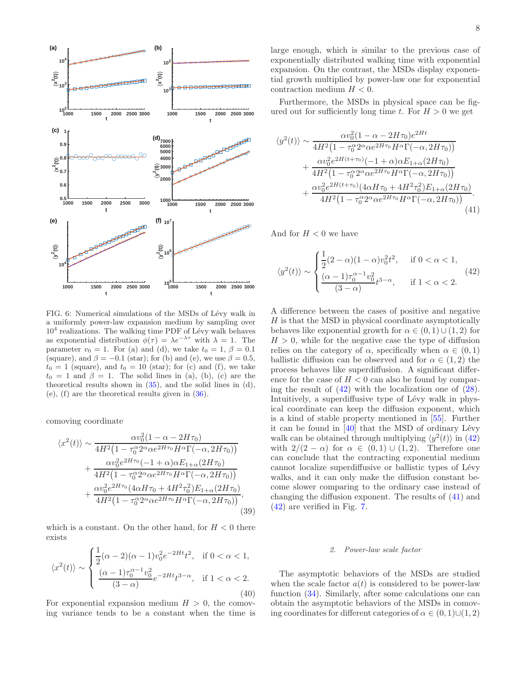

<span id="page-7-0"></span>FIG. 6: Numerical simulations of the MSDs of Lévy walk in a uniformly power-law expansion medium by sampling over  $10<sup>4</sup>$  realizations. The walking time PDF of Lévy walk behaves as exponential distribution  $\phi(\tau) = \lambda e^{-\lambda \tau}$  with  $\lambda = 1$ . The parameter  $v_0 = 1$ . For (a) and (d), we take  $t_0 = 1$ ,  $\beta = 0.1$ (square), and  $\beta = -0.1$  (star); for (b) and (e), we use  $\beta = 0.5$ ,  $t_0 = 1$  (square), and  $t_0 = 10$  (star); for (c) and (f), we take  $t_0 = 1$  and  $\beta = 1$ . The solid lines in (a), (b), (c) are the theoretical results shown in  $(35)$ , and the solid lines in  $(d)$ , (e),  $(f)$  are the theoretical results given in  $(36)$ .

comoving coordinate

<span id="page-7-3"></span>
$$
\langle x^{2}(t) \rangle \sim \frac{\alpha v_{0}^{2}(1-\alpha-2H\tau_{0})}{4H^{2}(1-\tau_{0}^{\alpha}2^{\alpha}\alpha e^{2H\tau_{0}}H^{\alpha}\Gamma(-\alpha,2H\tau_{0}))} + \frac{\alpha v_{0}^{2}e^{2H\tau_{0}}(-1+\alpha)\alpha E_{1+\alpha}(2H\tau_{0})}{4H^{2}(1-\tau_{0}^{\alpha}2^{\alpha}\alpha e^{2H\tau_{0}}H^{\alpha}\Gamma(-\alpha,2H\tau_{0}))} + \frac{\alpha v_{0}^{2}e^{2H\tau_{0}}(4\alpha H\tau_{0} + 4H^{2}\tau_{0}^{2})E_{1+\alpha}(2H\tau_{0})}{4H^{2}(1-\tau_{0}^{\alpha}2^{\alpha}\alpha e^{2H\tau_{0}}H^{\alpha}\Gamma(-\alpha,2H\tau_{0}))},
$$
\n(39)

which is a constant. On the other hand, for  $H < 0$  there exists

<span id="page-7-4"></span>
$$
\langle x^2(t) \rangle \sim \begin{cases} \frac{1}{2} (\alpha - 2)(\alpha - 1)v_0^2 e^{-2Ht} t^2, & \text{if } 0 < \alpha < 1, \\ \frac{(\alpha - 1)\tau_0^{\alpha - 1} v_0^2}{(3 - \alpha)} e^{-2Ht} t^{3 - \alpha}, & \text{if } 1 < \alpha < 2. \end{cases} \tag{40}
$$

For exponential expansion medium  $H > 0$ , the comoving variance tends to be a constant when the time is large enough, which is similar to the previous case of exponentially distributed walking time with exponential expansion. On the contrast, the MSDs display exponential growth multiplied by power-law one for exponential contraction medium  $H < 0$ .

Furthermore, the MSDs in physical space can be figured out for sufficiently long time t. For  $H > 0$  we get

$$
y^{2}(t) \sim \frac{\alpha v_{0}^{2}(1-\alpha-2H\tau_{0})e^{2Ht}}{4H^{2}(1-\tau_{0}^{\alpha}2^{\alpha}\alpha e^{2H\tau_{0}}H^{\alpha}\Gamma(-\alpha,2H\tau_{0}))} + \frac{\alpha v_{0}^{2}e^{2H(t+\tau_{0})}(-1+\alpha)\alpha E_{1+\alpha}(2H\tau_{0})}{4H^{2}(1-\tau_{0}^{\alpha}2^{\alpha}\alpha e^{2H\tau_{0}}H^{\alpha}\Gamma(-\alpha,2H\tau_{0}))} + \frac{\alpha v_{0}^{2}e^{2H(t+\tau_{0})}(4\alpha H\tau_{0}+4H^{2}\tau_{0}^{2})E_{1+\alpha}(2H\tau_{0})}{4H^{2}(1-\tau_{0}^{\alpha}2^{\alpha}\alpha e^{2H\tau_{0}}H^{\alpha}\Gamma(-\alpha,2H\tau_{0}))}
$$
\n(41)

And for  $H < 0$  we have

<span id="page-7-2"></span> $\langle$ 

<span id="page-7-1"></span>
$$
\langle y^2(t) \rangle \sim \begin{cases} \frac{1}{2}(2-\alpha)(1-\alpha)v_0^2 t^2, & \text{if } 0 < \alpha < 1, \\ \frac{(\alpha-1)\tau_0^{\alpha-1}v_0^2}{(3-\alpha)} t^{3-\alpha}, & \text{if } 1 < \alpha < 2. \end{cases} \tag{42}
$$

A difference between the cases of positive and negative  $H$  is that the MSD in physical coordinate asymptotically behaves like exponential growth for  $\alpha \in (0,1) \cup (1,2)$  for  $H > 0$ , while for the negative case the type of diffusion relies on the category of  $\alpha$ , specifically when  $\alpha \in (0,1)$ ballistic diffusion can be observed and for  $\alpha \in (1, 2)$  the process behaves like superdiffusion. A significant difference for the case of  $H < 0$  can also be found by comparing the result of  $(42)$  with the localization one of  $(28)$ . Intuitively, a superdiffusive type of Lévy walk in physical coordinate can keep the diffusion exponent, which is a kind of stable property mentioned in [\[55](#page-12-39)]. Further it can be found in  $[40]$  that the MSD of ordinary Lévy walk can be obtained through multiplying  $\langle y^2(t) \rangle$  in [\(42\)](#page-7-1) with  $2/(2 - \alpha)$  for  $\alpha \in (0, 1) \cup (1, 2)$ . Therefore one can conclude that the contracting exponential medium cannot localize superdiffusive or ballistic types of Lévy walks, and it can only make the diffusion constant become slower comparing to the ordinary case instead of changing the diffusion exponent. The results of [\(41\)](#page-7-2) and [\(42\)](#page-7-1) are verified in Fig. [7.](#page-8-1)

### 2. Power-law scale factor

The asymptotic behaviors of the MSDs are studied when the scale factor  $a(t)$  is considered to be power-law function [\(34\)](#page-6-4). Similarly, after some calculations one can obtain the asymptotic behaviors of the MSDs in comoving coordinates for different categories of  $\alpha \in (0,1) \cup (1,2)$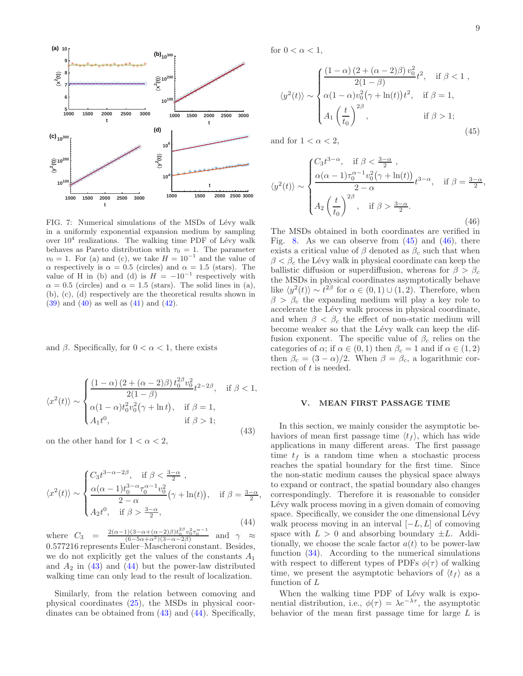

<span id="page-8-1"></span>FIG. 7: Numerical simulations of the MSDs of Lévy walk in a uniformly exponential expansion medium by sampling over  $10^4$  realizations. The walking time PDF of Lévy walk behaves as Pareto distribution with  $\tau_0 = 1$ . The parameter  $v_0 = 1$ . For (a) and (c), we take  $H = 10^{-1}$  and the value of  $\alpha$  respectively is  $\alpha = 0.5$  (circles) and  $\alpha = 1.5$  (stars). The value of H in (b) and (d) is  $H = -10^{-1}$  respectively with  $\alpha = 0.5$  (circles) and  $\alpha = 1.5$  (stars). The solid lines in (a), (b), (c), (d) respectively are the theoretical results shown in [\(39\)](#page-7-3) and [\(40\)](#page-7-4) as well as [\(41\)](#page-7-2) and [\(42\)](#page-7-1).

and  $\beta$ . Specifically, for  $0 < \alpha < 1$ , there exists

<span id="page-8-2"></span>
$$
\langle x^2(t) \rangle \sim \begin{cases} \frac{(1-\alpha)(2+(\alpha-2)\beta) t_0^{2\beta} v_0^2}{2(1-\beta)} t^{2-2\beta}, & \text{if } \beta < 1, \\ \alpha(1-\alpha) t_0^2 v_0^2(\gamma + \ln t), & \text{if } \beta = 1, \\ A_1 t^0, & \text{if } \beta > 1; \end{cases}
$$
(43)

on the other hand for  $1 < \alpha < 2$ ,

<span id="page-8-3"></span>
$$
\langle x^2(t) \rangle \sim \begin{cases} C_3 t^{3-\alpha-2\beta}, & \text{if } \beta < \frac{3-\alpha}{2} \,, \\ \frac{\alpha(\alpha-1)t_0^{3-\alpha}\tau_0^{\alpha-1}v_0^2}{2-\alpha} \left(\gamma + \ln(t)\right), & \text{if } \beta = \frac{3-\alpha}{2}, \\ A_2 t^0, & \text{if } \beta > \frac{3-\alpha}{2}, \end{cases} \tag{44}
$$

where  $C_3 = \frac{2(\alpha-1)(3-\alpha+(\alpha-2)\beta)t_0^{2\beta}v_0^2}{(6-5\alpha+\alpha^2)(3-\alpha-2\beta)}$ τ  $\alpha-1$  $\overline{0}$ and  $\gamma \approx$ 0.577216 represents Euler–Mascheroni constant. Besides, we do not explicitly get the values of the constants  $A_1$ and  $A_2$  in [\(43\)](#page-8-2) and [\(44\)](#page-8-3) but the power-law distributed walking time can only lead to the result of localization.

Similarly, from the relation between comoving and physical coordinates [\(25\)](#page-4-5), the MSDs in physical coordinates can be obtained from [\(43\)](#page-8-2) and [\(44\)](#page-8-3). Specifically,

for  $0 < \alpha < 1$ ,

<span id="page-8-4"></span>
$$
\langle y^2(t) \rangle \sim \begin{cases} \frac{(1-\alpha)(2+(\alpha-2)\beta)v_0^2}{2(1-\beta)}t^2, & \text{if } \beta < 1, \\ \alpha(1-\alpha)v_0^2(\gamma + \ln(t))t^2, & \text{if } \beta = 1, \\ A_1 \left(\frac{t}{t_0}\right)^{2\beta}, & \text{if } \beta > 1; \end{cases}
$$
(45)

and for  $1 < \alpha < 2$ ,

<span id="page-8-5"></span>
$$
\langle y^2(t) \rangle \sim \begin{cases} C_3 t^{3-\alpha}, & \text{if } \beta < \frac{3-\alpha}{2} \\ \frac{\alpha(\alpha-1)\tau_0^{\alpha-1}v_0^2(\gamma+\ln(t))}{2-\alpha}t^{3-\alpha}, & \text{if } \beta = \frac{3-\alpha}{2}, \\ A_2 \left(\frac{t}{t_0}\right)^{2\beta}, & \text{if } \beta > \frac{3-\alpha}{2}. \end{cases} \tag{46}
$$

The MSDs obtained in both coordinates are verified in Fig. [8.](#page-9-1) As we can observe from  $(45)$  and  $(46)$ , there exists a critical value of  $\beta$  denoted as  $\beta_c$  such that when  $\beta < \beta_c$  the Lévy walk in physical coordinate can keep the ballistic diffusion or superdiffusion, whereas for  $\beta > \beta_c$ the MSDs in physical coordinates asymptotically behave like  $\langle y^2(t) \rangle \sim t^{2\beta}$  for  $\alpha \in (0,1) \cup (1,2)$ . Therefore, when  $\beta > \beta_c$  the expanding medium will play a key role to accelerate the Lévy walk process in physical coordinate, and when  $\beta < \beta_c$  the effect of non-static medium will become weaker so that the Lévy walk can keep the diffusion exponent. The specific value of  $\beta_c$  relies on the categories of  $\alpha$ ; if  $\alpha \in (0,1)$  then  $\beta_c = 1$  and if  $\alpha \in (1,2)$ then  $\beta_c = (3 - \alpha)/2$ . When  $\beta = \beta_c$ , a logarithmic correction of t is needed.

## <span id="page-8-0"></span>V. MEAN FIRST PASSAGE TIME

In this section, we mainly consider the asymptotic behaviors of mean first passage time  $\langle t_f \rangle$ , which has wide applications in many different areas. The first passage time  $t_f$  is a random time when a stochastic process reaches the spatial boundary for the first time. Since the non-static medium causes the physical space always to expand or contract, the spatial boundary also changes correspondingly. Therefore it is reasonable to consider Lévy walk process moving in a given domain of comoving space. Specifically, we consider the one dimensional Lévy walk process moving in an interval  $[-L, L]$  of comoving space with  $L > 0$  and absorbing boundary  $\pm L$ . Additionally, we choose the scale factor  $a(t)$  to be power-law function [\(34\)](#page-6-4). According to the numerical simulations with respect to different types of PDFs  $\phi(\tau)$  of walking time, we present the asymptotic behaviors of  $\langle t_f \rangle$  as a function of L

When the walking time PDF of Lévy walk is exponential distribution, i.e.,  $\phi(\tau) = \lambda e^{-\lambda \tau}$ , the asymptotic behavior of the mean first passage time for large L is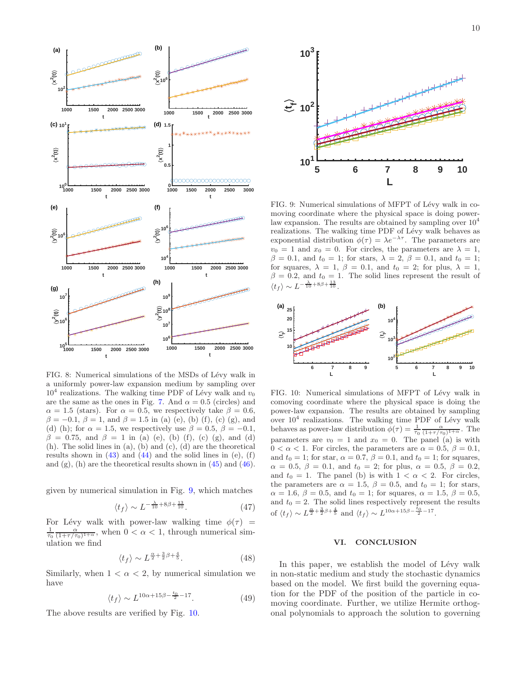

<span id="page-9-1"></span>FIG. 8: Numerical simulations of the MSDs of Lévy walk in a uniformly power-law expansion medium by sampling over  $10<sup>4</sup>$  realizations. The walking time PDF of Lévy walk and  $v_0$ are the same as the ones in Fig. [7.](#page-8-1) And  $\alpha = 0.5$  (circles) and  $\alpha = 1.5$  (stars). For  $\alpha = 0.5$ , we respectively take  $\beta = 0.6$ ,  $\beta = -0.1, \beta = 1$ , and  $\beta = 1.5$  in (a) (e), (b) (f), (c) (g), and (d) (h); for  $\alpha = 1.5$ , we respectively use  $\beta = 0.5$ ,  $\beta = -0.1$ ,  $β = 0.75$ , and  $β = 1$  in (a) (e), (b) (f), (c) (g), and (d) (h). The solid lines in (a), (b) and (c), (d) are the theoretical results shown in  $(43)$  and  $(44)$  and the solid lines in  $(e)$ ,  $(f)$ and  $(g)$ ,  $(h)$  are the theoretical results shown in  $(45)$  and  $(46)$ .

given by numerical simulation in Fig. [9,](#page-9-2) which matches

$$
\langle t_f \rangle \sim L^{-\frac{\lambda}{10} + 8\beta + \frac{13}{10}}.\tag{47}
$$

For Lévy walk with power-law walking time  $\phi(\tau)$  =  $\frac{1}{\tau_0} \frac{\alpha}{(1+\tau/\tau_0)^{1+\alpha}}$ , when  $0 < \alpha < 1$ , through numerical simulation we find

$$
\langle t_f \rangle \sim L^{\frac{\alpha}{2} + \frac{3}{2}\beta + \frac{4}{5}}.
$$
 (48)

Similarly, when  $1 < \alpha < 2$ , by numerical simulation we have

$$
\langle t_f \rangle \sim L^{10\alpha + 15\beta - \frac{t_0}{2} - 17}.\tag{49}
$$

The above results are verified by Fig. [10.](#page-9-3)



<span id="page-9-2"></span>FIG. 9: Numerical simulations of MFPT of Lévy walk in comoving coordinate where the physical space is doing powerlaw expansion. The results are obtained by sampling over  $10<sup>4</sup>$ realizations. The walking time PDF of Lévy walk behaves as exponential distribution  $\phi(\tau) = \lambda e^{-\lambda \tau}$ . The parameters are  $v_0 = 1$  and  $x_0 = 0$ . For circles, the parameters are  $\lambda = 1$ ,  $\beta = 0.1$ , and  $t_0 = 1$ ; for stars,  $\lambda = 2$ ,  $\beta = 0.1$ , and  $t_0 = 1$ ; for squares,  $\lambda = 1$ ,  $\beta = 0.1$ , and  $t_0 = 2$ ; for plus,  $\lambda = 1$ ,  $\beta = 0.2$ , and  $t_0 = 1$ . The solid lines represent the result of  $\langle t_f \rangle \sim L^{-\frac{\lambda}{10} + 8\beta + \frac{13}{10}}.$ 



<span id="page-9-3"></span>FIG. 10: Numerical simulations of MFPT of Lévy walk in comoving coordinate where the physical space is doing the power-law expansion. The results are obtained by sampling over  $10^4$  realizations. The walking time PDF of Lévy walk behaves as power-law distribution  $\phi(\tau) = \frac{1}{\tau_0} \frac{\alpha}{(1 + \tau/\tau_0)^{1 + \alpha}}$ . The parameters are  $v_0 = 1$  and  $x_0 = 0$ . The panel (a) is with  $0 < \alpha < 1$ . For circles, the parameters are  $\alpha = 0.5$ ,  $\beta = 0.1$ , and  $t_0 = 1$ ; for star,  $\alpha = 0.7$ ,  $\beta = 0.1$ , and  $t_0 = 1$ ; for squares,  $\alpha = 0.5, \ \beta = 0.1, \text{ and } t_0 = 2; \text{ for plus, } \alpha = 0.5, \ \beta = 0.2,$ and  $t_0 = 1$ . The panel (b) is with  $1 < \alpha < 2$ . For circles, the parameters are  $\alpha = 1.5$ ,  $\beta = 0.5$ , and  $t_0 = 1$ ; for stars,  $\alpha = 1.6, \beta = 0.5, \text{ and } t_0 = 1; \text{ for squares, } \alpha = 1.5, \beta = 0.5,$ and  $t_0 = 2$ . The solid lines respectively represent the results of  $\langle t_f \rangle \sim L^{\frac{\alpha}{2} + \frac{3}{2}\beta + \frac{4}{5}}$  and  $\langle t_f \rangle \sim L^{10\alpha + 15\beta - \frac{\bar{t}_0}{2} - 17}$ .

## <span id="page-9-0"></span>VI. CONCLUSION

In this paper, we establish the model of Lévy walk in non-static medium and study the stochastic dynamics based on the model. We first build the governing equation for the PDF of the position of the particle in comoving coordinate. Further, we utilize Hermite orthogonal polynomials to approach the solution to governing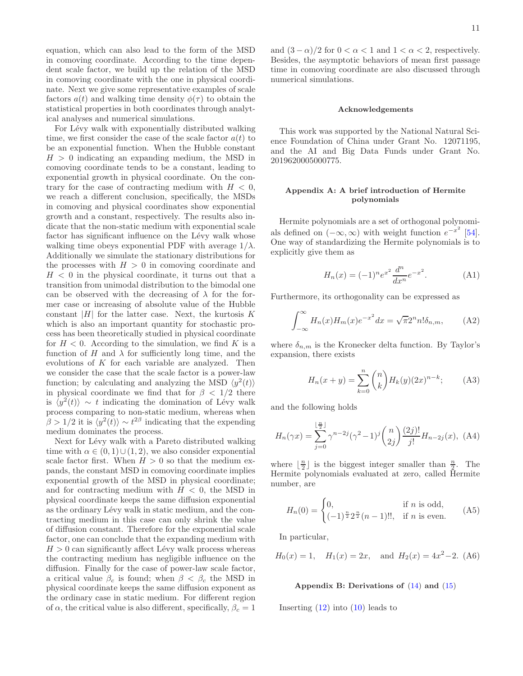equation, which can also lead to the form of the MSD in comoving coordinate. According to the time dependent scale factor, we build up the relation of the MSD in comoving coordinate with the one in physical coordinate. Next we give some representative examples of scale factors  $a(t)$  and walking time density  $\phi(\tau)$  to obtain the statistical properties in both coordinates through analytical analyses and numerical simulations.

For Lévy walk with exponentially distributed walking time, we first consider the case of the scale factor  $a(t)$  to be an exponential function. When the Hubble constant  $H > 0$  indicating an expanding medium, the MSD in comoving coordinate tends to be a constant, leading to exponential growth in physical coordinate. On the contrary for the case of contracting medium with  $H < 0$ , we reach a different conclusion, specifically, the MSDs in comoving and physical coordinates show exponential growth and a constant, respectively. The results also indicate that the non-static medium with exponential scale factor has significant influence on the Lévy walk whose walking time obeys exponential PDF with average  $1/\lambda$ . Additionally we simulate the stationary distributions for the processes with  $H > 0$  in comoving coordinate and  $H < 0$  in the physical coordinate, it turns out that a transition from unimodal distribution to the bimodal one can be observed with the decreasing of  $\lambda$  for the former case or increasing of absolute value of the Hubble constant  $|H|$  for the latter case. Next, the kurtosis K which is also an important quantity for stochastic process has been theoretically studied in physical coordinate for  $H < 0$ . According to the simulation, we find K is a function of H and  $\lambda$  for sufficiently long time, and the evolutions of  $K$  for each variable are analyzed. Then we consider the case that the scale factor is a power-law function; by calculating and analyzing the MSD  $\langle y^2(t) \rangle$ in physical coordinate we find that for  $\beta$  < 1/2 there is  $\langle y^2(t) \rangle \sim t$  indicating the domination of Lévy walk process comparing to non-static medium, whereas when  $\beta > 1/2$  it is  $\langle y^2(t) \rangle \sim t^{2\beta}$  indicating that the expending medium dominates the process.

Next for Lévy walk with a Pareto distributed walking time with  $\alpha \in (0,1) \cup (1,2)$ , we also consider exponential scale factor first. When  $H > 0$  so that the medium expands, the constant MSD in comoving coordinate implies exponential growth of the MSD in physical coordinate; and for contracting medium with  $H < 0$ , the MSD in physical coordinate keeps the same diffusion exponential as the ordinary Lévy walk in static medium, and the contracting medium in this case can only shrink the value of diffusion constant. Therefore for the exponential scale factor, one can conclude that the expanding medium with  $H > 0$  can significantly affect Lévy walk process whereas the contracting medium has negligible influence on the diffusion. Finally for the case of power-law scale factor, a critical value  $\beta_c$  is found; when  $\beta < \beta_c$  the MSD in physical coordinate keeps the same diffusion exponent as the ordinary case in static medium. For different region of  $\alpha$ , the critical value is also different, specifically,  $\beta_c = 1$ 

and  $(3 - \alpha)/2$  for  $0 < \alpha < 1$  and  $1 < \alpha < 2$ , respectively. Besides, the asymptotic behaviors of mean first passage time in comoving coordinate are also discussed through numerical simulations.

#### Acknowledgements

This work was supported by the National Natural Science Foundation of China under Grant No. 12071195, and the AI and Big Data Funds under Grant No. 2019620005000775.

## <span id="page-10-4"></span>Appendix A: A brief introduction of Hermite polynomials

Hermite polynomials are a set of orthogonal polynomials defined on  $(-\infty, \infty)$  with weight function  $e^{-x^2}$  [\[54\]](#page-12-38). One way of standardizing the Hermite polynomials is to explicitly give them as

<span id="page-10-1"></span>
$$
H_n(x) = (-1)^n e^{x^2} \frac{d^n}{dx^n} e^{-x^2}.
$$
 (A1)

Furthermore, its orthogonality can be expressed as

<span id="page-10-2"></span>
$$
\int_{-\infty}^{\infty} H_n(x) H_m(x) e^{-x^2} dx = \sqrt{\pi} 2^n n! \delta_{n,m}, \quad (A2)
$$

where  $\delta_{n,m}$  is the Kronecker delta function. By Taylor's expansion, there exists

<span id="page-10-3"></span>
$$
H_n(x+y) = \sum_{k=0}^n \binom{n}{k} H_k(y) (2x)^{n-k};\tag{A3}
$$

and the following holds

$$
H_n(\gamma x) = \sum_{j=0}^{\lfloor \frac{n}{2} \rfloor} \gamma^{n-2j} (\gamma^2 - 1)^j {n \choose 2j} \frac{(2j)!}{j!} H_{n-2j}(x), \text{ (A4)}
$$

where  $\lfloor \frac{n}{2} \rfloor$  is the biggest integer smaller than  $\frac{n}{2}$ . The Hermite polynomials evaluated at zero, called Hermite number, are

$$
H_n(0) = \begin{cases} 0, & \text{if } n \text{ is odd,} \\ (-1)^{\frac{n}{2}} 2^{\frac{n}{2}} (n-1)!!, & \text{if } n \text{ is even.} \end{cases}
$$
 (A5)

In particular,

$$
H_0(x) = 1
$$
,  $H_1(x) = 2x$ , and  $H_2(x) = 4x^2 - 2$ . (A6)

### <span id="page-10-0"></span>Appendix B: Derivations of  $(14)$  and  $(15)$

Inserting [\(12\)](#page-3-1) into [\(10\)](#page-2-7) leads to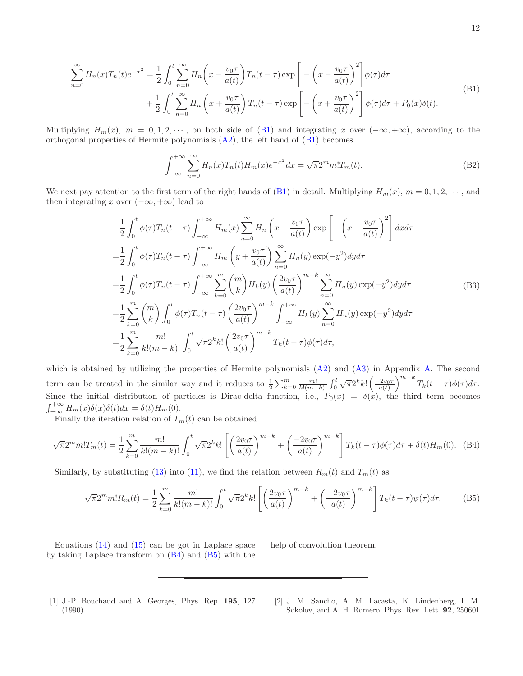<span id="page-11-1"></span>
$$
\sum_{n=0}^{\infty} H_n(x) T_n(t) e^{-x^2} = \frac{1}{2} \int_0^t \sum_{n=0}^{\infty} H_n\left(x - \frac{v_0 \tau}{a(t)}\right) T_n(t-\tau) \exp\left[-\left(x - \frac{v_0 \tau}{a(t)}\right)^2\right] \phi(\tau) d\tau + \frac{1}{2} \int_0^t \sum_{n=0}^{\infty} H_n\left(x + \frac{v_0 \tau}{a(t)}\right) T_n(t-\tau) \exp\left[-\left(x + \frac{v_0 \tau}{a(t)}\right)^2\right] \phi(\tau) d\tau + P_0(x) \delta(t).
$$
\n(B1)

Multiplying  $H_m(x)$ ,  $m = 0, 1, 2, \dots$ , on both side of [\(B1\)](#page-11-1) and integrating x over  $(-\infty, +\infty)$ , according to the orthogonal properties of Hermite polynomials  $(A2)$ , the left hand of  $(B1)$  becomes

$$
\int_{-\infty}^{+\infty} \sum_{n=0}^{\infty} H_n(x) T_n(t) H_m(x) e^{-x^2} dx = \sqrt{\pi} 2^m m! T_m(t).
$$
 (B2)

We next pay attention to the first term of the right hands of [\(B1\)](#page-11-1) in detail. Multiplying  $H_m(x)$ ,  $m = 0, 1, 2, \dots$ , and then integrating x over  $(-\infty, +\infty)$  lead to

$$
\frac{1}{2} \int_0^t \phi(\tau) T_n(t-\tau) \int_{-\infty}^{+\infty} H_m(x) \sum_{n=0}^{\infty} H_n\left(x - \frac{v_0 \tau}{a(t)}\right) \exp\left[-\left(x - \frac{v_0 \tau}{a(t)}\right)^2\right] dx d\tau
$$
\n
$$
= \frac{1}{2} \int_0^t \phi(\tau) T_n(t-\tau) \int_{-\infty}^{+\infty} H_m\left(y + \frac{v_0 \tau}{a(t)}\right) \sum_{n=0}^{\infty} H_n(y) \exp(-y^2) dy d\tau
$$
\n
$$
= \frac{1}{2} \int_0^t \phi(\tau) T_n(t-\tau) \int_{-\infty}^{+\infty} \sum_{k=0}^m \binom{m}{k} H_k(y) \left(\frac{2v_0 \tau}{a(t)}\right)^{m-k} \sum_{n=0}^{\infty} H_n(y) \exp(-y^2) dy d\tau
$$
\n
$$
= \frac{1}{2} \sum_{k=0}^m \binom{m}{k} \int_0^t \phi(\tau) T_n(t-\tau) \left(\frac{2v_0 \tau}{a(t)}\right)^{m-k} \int_{-\infty}^{+\infty} H_k(y) \sum_{n=0}^{\infty} H_n(y) \exp(-y^2) dy d\tau
$$
\n
$$
= \frac{1}{2} \sum_{k=0}^m \frac{m!}{k!(m-k)!} \int_0^t \sqrt{\tau} 2^k k! \left(\frac{2v_0 \tau}{a(t)}\right)^{m-k} T_k(t-\tau) \phi(\tau) d\tau,
$$
\n(Mn)

which is obtained by utilizing the properties of Hermite polynomials  $(A2)$  and  $(A3)$  in Appendix [A.](#page-10-4) The second term can be treated in the similar way and it reduces to  $\frac{1}{2} \sum_{k=0}^{m} \frac{m!}{k!(m-k)!} \int_0^t \sqrt{\pi} 2^k k! \left( \frac{-2v_0 \tau}{a(t)} \right)$  $\int^{m-k} T_k(t-\tau) \phi(\tau) d\tau.$ Since the initial distribution of particles is Dirac-delta function, i.e.,  $P_0(x) = \delta(x)$ , the third term becomes  $\int_{-\infty}^{+\infty} H_m(x)\delta(x)\delta(t)dx = \delta(t)H_m(0).$ 

Finally the iteration relation of  $T_m(t)$  can be obtained

<span id="page-11-2"></span>
$$
\sqrt{\pi}2^m m!T_m(t) = \frac{1}{2} \sum_{k=0}^m \frac{m!}{k!(m-k)!} \int_0^t \sqrt{\pi}2^k k! \left[ \left( \frac{2v_0 \tau}{a(t)} \right)^{m-k} + \left( \frac{-2v_0 \tau}{a(t)} \right)^{m-k} \right] T_k(t-\tau)\phi(\tau)d\tau + \delta(t)H_m(0). \tag{B4}
$$

Similarly, by substituting [\(13\)](#page-3-2) into [\(11\)](#page-2-8), we find the relation between  $R_m(t)$  and  $T_m(t)$  as

<span id="page-11-3"></span>
$$
\sqrt{\pi}2^m m! R_m(t) = \frac{1}{2} \sum_{k=0}^m \frac{m!}{k! (m-k)!} \int_0^t \sqrt{\pi} 2^k k! \left[ \left( \frac{2v_0 \tau}{a(t)} \right)^{m-k} + \left( \frac{-2v_0 \tau}{a(t)} \right)^{m-k} \right] T_k(t-\tau) \psi(\tau) d\tau.
$$
 (B5)

Equations  $(14)$  and  $(15)$  can be got in Laplace space by taking Laplace transform on  $(B4)$  and  $(B5)$  with the help of convolution theorem.

- <span id="page-11-0"></span>[1] J.-P. Bouchaud and A. Georges, Phys. Rep. 195, 127 (1990).
- [2] J. M. Sancho, A. M. Lacasta, K. Lindenberg, I. M. Sokolov, and A. H. Romero, Phys. Rev. Lett. 92, 250601